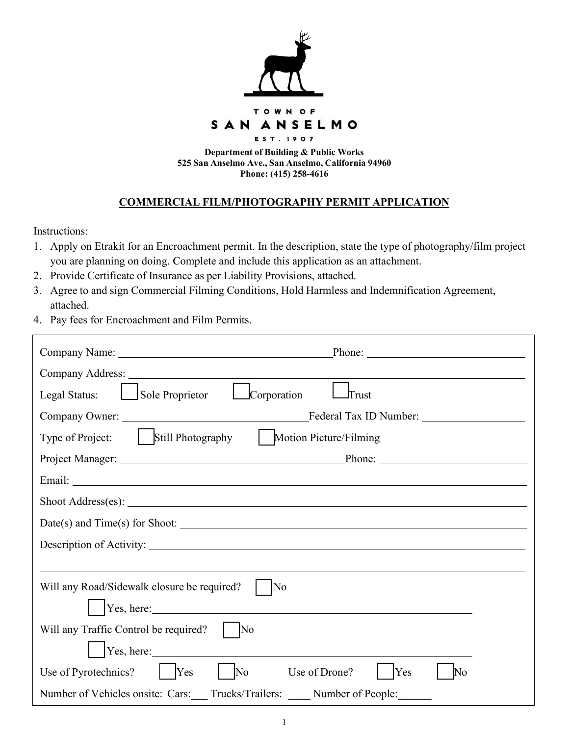

# **525 San Anselmo Ave., San Anselmo, California 94960 Phone: (415) 258-4616**

## **COMMERCIAL FILM/PHOTOGRAPHY PERMIT APPLICATION**

Instructions:

- 1. Apply on Etrakit for an Encroachment permit. In the description, state the type of photography/film project you are planning on doing. Complete and include this application as an attachment.
- 2. Provide Certificate of Insurance as per Liability Provisions, attached.
- 3. Agree to and sign Commercial Filming Conditions, Hold Harmless and Indemnification Agreement, attached.
- 4. Pay fees for Encroachment and Film Permits.

| Corporation<br>Legal Status:<br>$\Box$ Sole Proprietor<br><b>Trust</b>                                                                                                                                                         |  |  |  |  |
|--------------------------------------------------------------------------------------------------------------------------------------------------------------------------------------------------------------------------------|--|--|--|--|
|                                                                                                                                                                                                                                |  |  |  |  |
| Type of Project:   Still Photography   Motion Picture/Filming                                                                                                                                                                  |  |  |  |  |
|                                                                                                                                                                                                                                |  |  |  |  |
|                                                                                                                                                                                                                                |  |  |  |  |
|                                                                                                                                                                                                                                |  |  |  |  |
| $Date(s)$ and $Time(s)$ for Shoot:                                                                                                                                                                                             |  |  |  |  |
|                                                                                                                                                                                                                                |  |  |  |  |
|                                                                                                                                                                                                                                |  |  |  |  |
| Will any Road/Sidewalk closure be required?<br>$\overline{\rm No}$                                                                                                                                                             |  |  |  |  |
| Yes, here: New York Contains the Contains of the Contains of the Contains of the Contains of the Contains of the Contains of the Contains of the Contains of the Contains of the Contains of the Contains of the Contains of t |  |  |  |  |
| $\overline{\text{No}}$<br>Will any Traffic Control be required?                                                                                                                                                                |  |  |  |  |
| Yes, here:                                                                                                                                                                                                                     |  |  |  |  |
| Use of Pyrotechnics?<br>$\overline{\text{No}}$<br>$\vert$ Yes<br>Use of Drone?<br><b>Yes</b><br>$\mathbb N$ o                                                                                                                  |  |  |  |  |
| Number of Vehicles onsite: Cars:<br>Trucks/Trailers: ______Number of People:                                                                                                                                                   |  |  |  |  |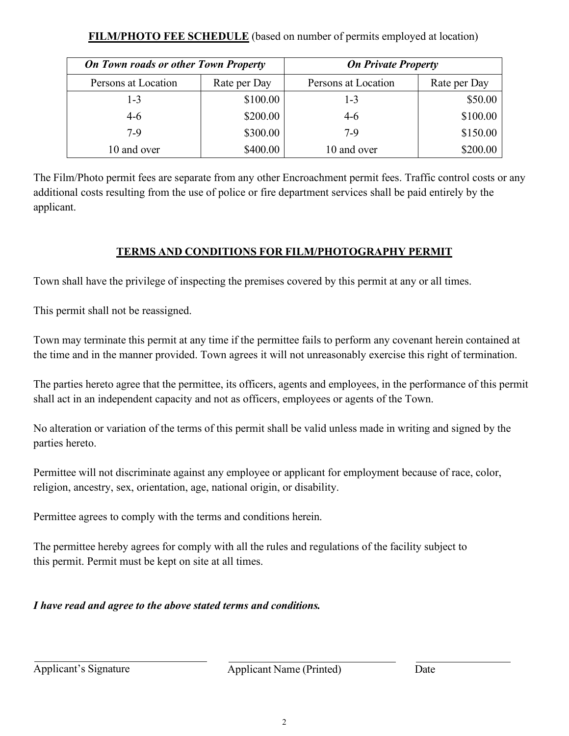**FILM/PHOTO FEE SCHEDULE** (based on number of permits employed at location)

| <b>On Town roads or other Town Property</b> |              | <b>On Private Property</b> |              |
|---------------------------------------------|--------------|----------------------------|--------------|
| Persons at Location                         | Rate per Day | Persons at Location        | Rate per Day |
| $1 - 3$                                     | \$100.00     | $1 - 3$                    | \$50.00      |
| $4-6$                                       | \$200.00     | $4-6$                      | \$100.00     |
| $7-9$                                       | \$300.00     | $7-9$                      | \$150.00     |
| 10 and over                                 | \$400.00     | 10 and over                | \$200.00     |

The Film/Photo permit fees are separate from any other Encroachment permit fees. Traffic control costs or any additional costs resulting from the use of police or fire department services shall be paid entirely by the applicant.

## **TERMS AND CONDITIONS FOR FILM/PHOTOGRAPHY PERMIT**

Town shall have the privilege of inspecting the premises covered by this permit at any or all times.

This permit shall not be reassigned.

Town may terminate this permit at any time if the permittee fails to perform any covenant herein contained at the time and in the manner provided. Town agrees it will not unreasonably exercise this right of termination.

The parties hereto agree that the permittee, its officers, agents and employees, in the performance of this permit shall act in an independent capacity and not as officers, employees or agents of the Town.

No alteration or variation of the terms of this permit shall be valid unless made in writing and signed by the parties hereto.

Permittee will not discriminate against any employee or applicant for employment because of race, color, religion, ancestry, sex, orientation, age, national origin, or disability.

Permittee agrees to comply with the terms and conditions herein.

The permittee hereby agrees for comply with all the rules and regulations of the facility subject to this permit. Permit must be kept on site at all times.

*I have read and agree to the above stated terms and conditions.*

Applicant's Signature **Applicant Name (Printed)** Date